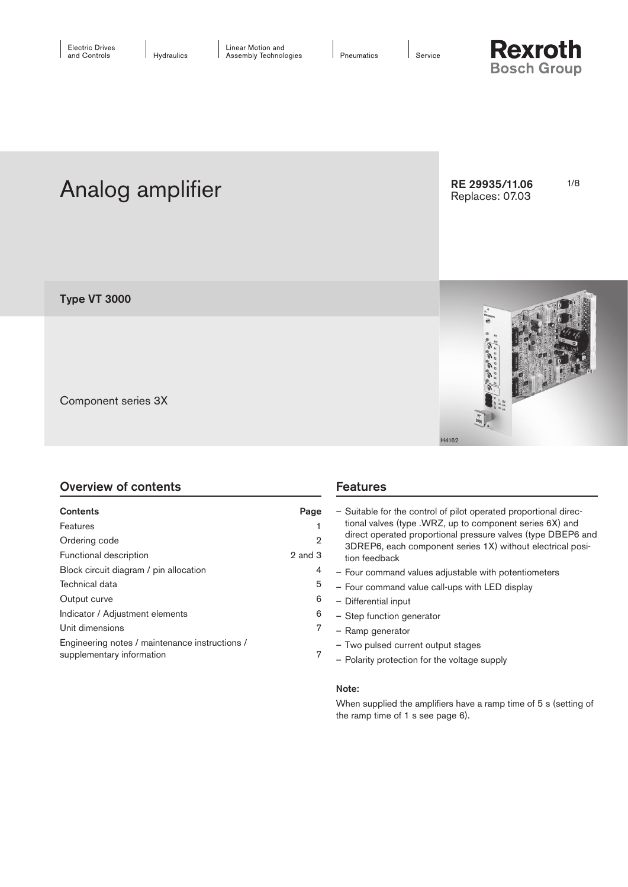Service



Analog amplifier Research RE 29935/11.06 1/8 RE 29935/11.06 Replaces: 07.03





Component series 3X

Type VT 3000

| <b>Overview of contents</b> |  |  |  |  |
|-----------------------------|--|--|--|--|
|-----------------------------|--|--|--|--|

| Contents                                                                    | Page    |
|-----------------------------------------------------------------------------|---------|
| Features                                                                    |         |
| Ordering code                                                               | 2       |
| Functional description                                                      | 2 and 3 |
| Block circuit diagram / pin allocation                                      | 4       |
| Technical data                                                              | 5       |
| Output curve                                                                | 6       |
| Indicator / Adjustment elements                                             | 6       |
| Unit dimensions                                                             | 7       |
| Engineering notes / maintenance instructions /<br>supplementary information | 7       |

| - Suitable for the control of pilot operated proportional direc-                                                         |
|--------------------------------------------------------------------------------------------------------------------------|
| tional valves (type .WRZ, up to component series 6X) and<br>direct operated proportional pressure valves (type DBEP6 and |
| 3DREP6, each component series 1X) without electrical posi-<br>tion feedback                                              |
| - Four command values adjustable with potentiometers                                                                     |
| - Four command value call-ups with LED display                                                                           |
| - Differential input                                                                                                     |

- Step function generator
- Ramp generator

**Features** 

- Two pulsed current output stages
- Polarity protection for the voltage supply

### Note:

When supplied the amplifiers have a ramp time of 5 s (setting of the ramp time of 1 s see page 6).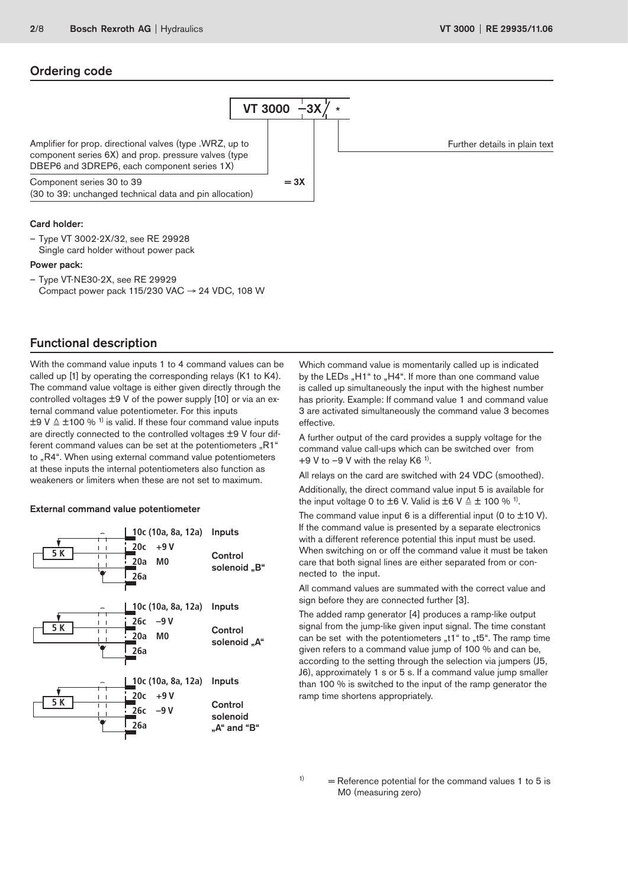### Ordering code



Compact power pack 115/230 VAC  $\rightarrow$  24 VDC, 108 W

# Functional description

With the command value inputs 1 to 4 command values can be called up [1] by operating the corresponding relays (K1 to K4). The command value voltage is either given directly through the controlled voltages ±9 V of the power supply [10] or via an external command value potentiometer. For this inputs  $\pm$ 9 V  $\triangleq$   $\pm$ 100 % <sup>1)</sup> is valid. If these four command value inputs are directly connected to the controlled voltages ±9 V four different command values can be set at the potentiometers "R1" to "R4". When using external command value potentiometers at these inputs the internal potentiometers also function as weakeners or limiters when these are not set to maximum.

#### External command value potentiometer



Which command value is momentarily called up is indicated by the LEDs "H1" to "H4". If more than one command value is called up simultaneously the input with the highest number has priority. Example: If command value 1 and command value 3 are activated simultaneously the command value 3 becomes effective.

A further output of the card provides a supply voltage for the command value call-ups which can be switched over from  $+9$  V to  $-9$  V with the relay K6<sup>1)</sup>.

All relays on the card are switched with 24 VDC (smoothed).

Additionally, the direct command value input 5 is available for the input voltage 0 to  $\pm$ 6 V. Valid is  $\pm$ 6 V  $\triangleq$   $\pm$  100 % <sup>1)</sup>.

The command value input 6 is a differential input (0 to  $\pm$ 10 V). If the command value is presented by a separate electronics with a different reference potential this input must be used. When switching on or off the command value it must be taken care that both signal lines are either separated from or connected to the input.

All command values are summated with the correct value and sign before they are connected further [3].

The added ramp generator [4] produces a ramp-like output signal from the jump-like given input signal. The time constant can be set with the potentiometers  $*1$ " to  $*15$ ". The ramp time given refers to a command value jump of 100 % and can be, according to the setting through the selection via jumpers (J5, J6), approximately 1 s or 5 s. If a command value jump smaller than 100 % is switched to the input of the ramp generator the ramp time shortens appropriately.

 $1$  = Reference potential for the command values 1 to 5 is M0 (measuring zero)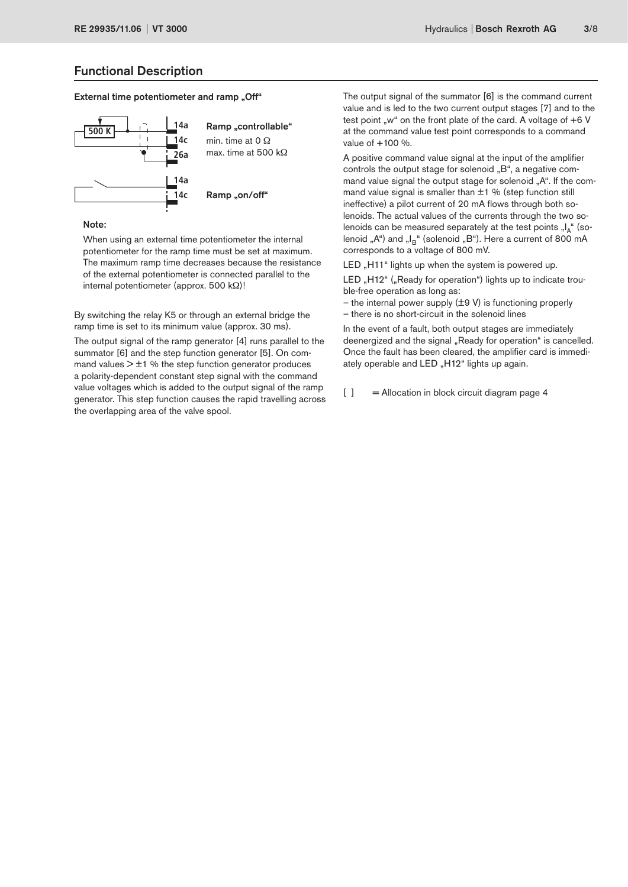## Functional Description

#### External time potentiometer and ramp "Off"



#### Note:

When using an external time potentiometer the internal potentiometer for the ramp time must be set at maximum. The maximum ramp time decreases because the resistance of the external potentiometer is connected parallel to the internal potentiometer (approx. 500 kΩ)!

By switching the relay K5 or through an external bridge the ramp time is set to its minimum value (approx. 30 ms).

The output signal of the ramp generator [4] runs parallel to the summator [6] and the step function generator [5]. On command values  $> \pm 1$  % the step function generator produces a polarity-dependent constant step signal with the command value voltages which is added to the output signal of the ramp generator. This step function causes the rapid travelling across the overlapping area of the valve spool.

The output signal of the summator [6] is the command current value and is led to the two current output stages [7] and to the test point "w" on the front plate of the card. A voltage of  $+6$  V at the command value test point corresponds to a command value of  $+100 \%$ .

A positive command value signal at the input of the amplifier controls the output stage for solenoid "B", a negative command value signal the output stage for solenoid "A". If the command value signal is smaller than  $\pm 1$  % (step function still ineffective) a pilot current of 20 mA flows through both solenoids. The actual values of the currents through the two solenoids can be measured separately at the test points "I<sub>A</sub>" (solenoid " $A^{\prime\prime}$ ) and " $I_B$ " (solenoid " $B^{\prime\prime}$ ). Here a current of 800 mA corresponds to a voltage of 800 mV.

LED "H11" lights up when the system is powered up.

LED "H12" ("Ready for operation") lights up to indicate trouble-free operation as long as:

– the internal power supply (±9 V) is functioning properly – there is no short-circuit in the solenoid lines

In the event of a fault, both output stages are immediately deenergized and the signal "Ready for operation" is cancelled. Once the fault has been cleared, the amplifier card is immediately operable and LED "H12" lights up again.

 $[ ]$  = Allocation in block circuit diagram page 4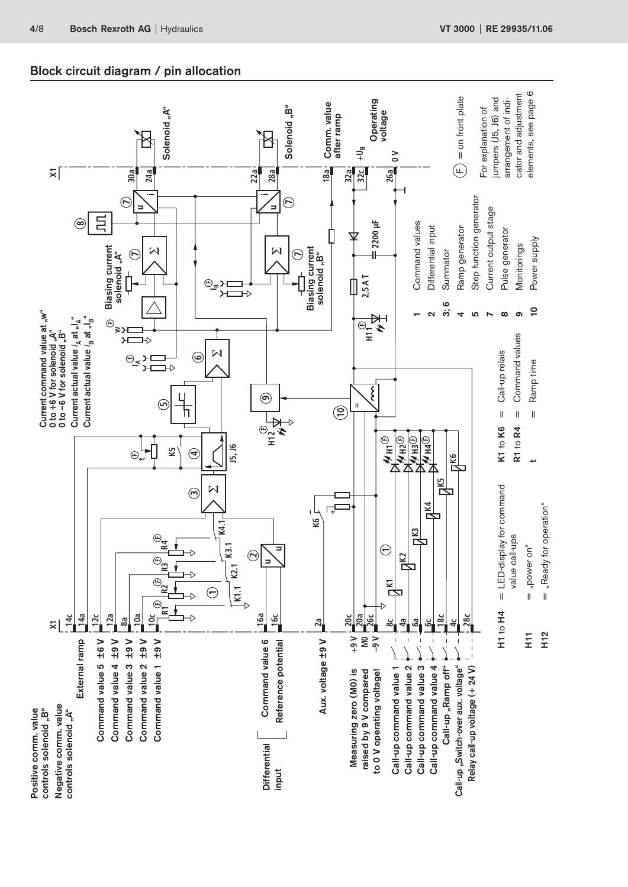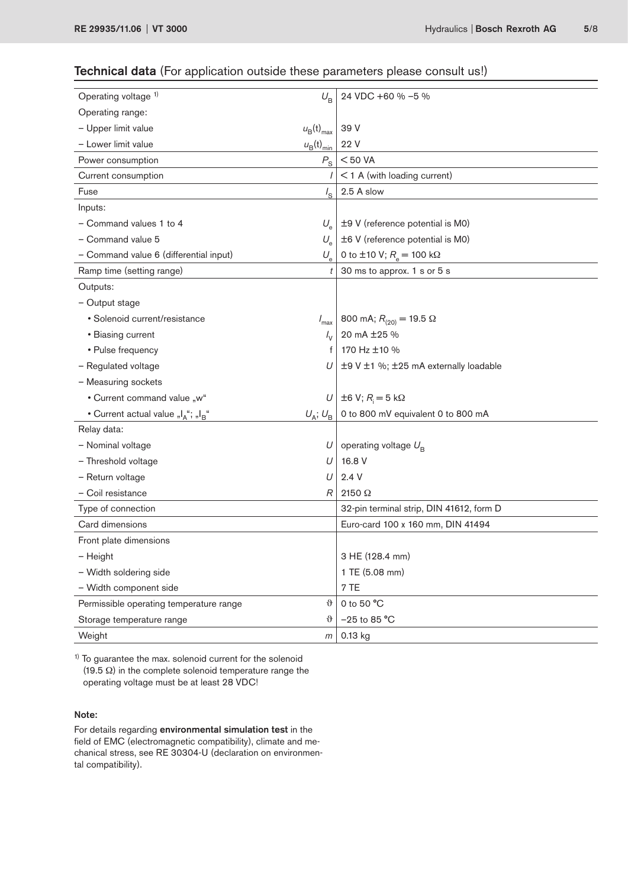# Technical data (For application outside these parameters please consult us!)

| Operating voltage 1)<br>$U_{\rm B}$                         |                                | 24 VDC +60 % -5 %                        |  |
|-------------------------------------------------------------|--------------------------------|------------------------------------------|--|
| Operating range:                                            |                                |                                          |  |
| - Upper limit value                                         | $u_{\rm B}$ (t) <sub>max</sub> | 39 V                                     |  |
| - Lower limit value                                         | $u_{\rm B}(t)_{\rm min}$       | 22 V                                     |  |
| Power consumption                                           | $P_{\rm S}$                    | $<$ 50 VA                                |  |
| Current consumption                                         |                                | $<$ 1 A (with loading current)           |  |
| Fuse                                                        | $I_{\rm S}$                    | 2.5 A slow                               |  |
| Inputs:                                                     |                                |                                          |  |
| - Command values 1 to 4                                     | $U_{\rm e}$                    | ±9 V (reference potential is M0)         |  |
| - Command value 5<br>$U_{\rm e}$                            |                                | ±6 V (reference potential is M0)         |  |
| - Command value 6 (differential input)                      | $U_{\rm e}$                    | 0 to ±10 V; $R_e = 100 \text{ k}\Omega$  |  |
| Ramp time (setting range)                                   | t                              | 30 ms to approx. 1 s or 5 s              |  |
| Outputs:                                                    |                                |                                          |  |
| - Output stage                                              |                                |                                          |  |
| • Solenoid current/resistance                               | $I_{\text{max}}$               | 800 mA; $R_{(20)} = 19.5 \Omega$         |  |
| • Biasing current                                           | $I_{\rm V}$                    | 20 mA ±25 %                              |  |
| • Pulse frequency                                           | f                              | 170 Hz ±10 %                             |  |
| - Regulated voltage                                         | U                              | ±9 V ±1 %; ±25 mA externally loadable    |  |
| - Measuring sockets                                         |                                |                                          |  |
| • Current command value "w"                                 | U                              | $\pm 6$ V; $R_i = 5$ k $\Omega$          |  |
| • Current actual value "I <sub>A</sub> "; "I <sub>B</sub> " | $U_{\rm A}$ ; $U_{\rm B}$      | 0 to 800 mV equivalent 0 to 800 mA       |  |
| Relay data:                                                 |                                |                                          |  |
| - Nominal voltage                                           | U                              | operating voltage $U_{\rm B}$            |  |
| - Threshold voltage                                         | U                              | 16.8 V                                   |  |
| - Return voltage                                            | U                              | 2.4V                                     |  |
| - Coil resistance                                           | R                              | $2150 \Omega$                            |  |
| Type of connection                                          |                                | 32-pin terminal strip, DIN 41612, form D |  |
| Card dimensions                                             |                                | Euro-card 100 x 160 mm, DIN 41494        |  |
| Front plate dimensions                                      |                                |                                          |  |
| - Height                                                    |                                | 3 HE (128.4 mm)                          |  |
| - Width soldering side                                      |                                | 1 TE (5.08 mm)                           |  |
| - Width component side                                      |                                | 7 TE                                     |  |
| Permissible operating temperature range                     | $\vartheta$                    | 0 to 50 °C                               |  |
| Storage temperature range                                   | $\vartheta$                    | $-25$ to 85 °C                           |  |
| Weight                                                      | m                              | 0.13 kg                                  |  |
|                                                             |                                |                                          |  |

<sup>1)</sup> To guarantee the max. solenoid current for the solenoid (19.5 Ω) in the complete solenoid temperature range the operating voltage must be at least 28 VDC!

### Note:

For details regarding environmental simulation test in the field of EMC (electromagnetic compatibility), climate and mechanical stress, see RE 30304-U (declaration on environmental compatibility).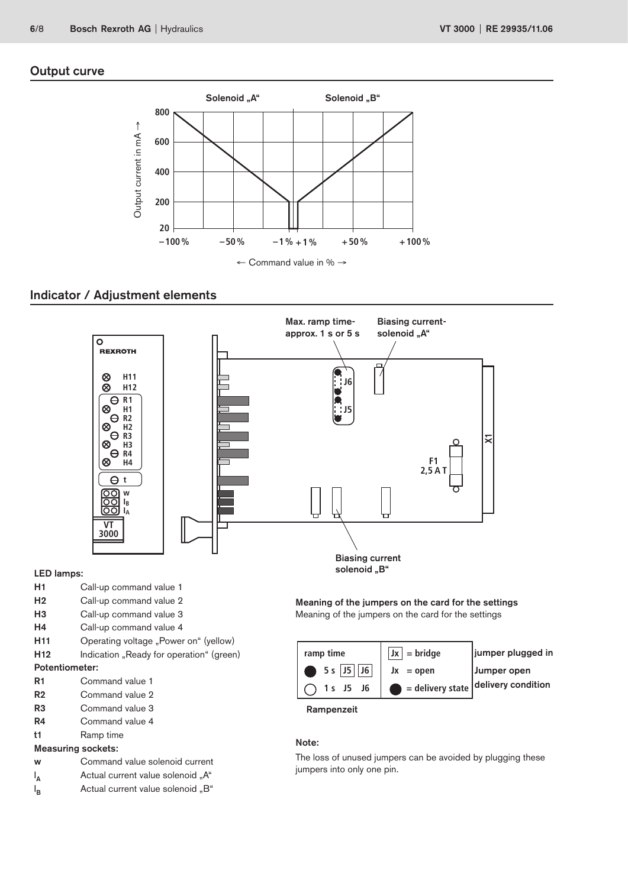# Output curve



# Indicator / Adjustment elements



## LED lamps:

- H1 Call-up command value 1
- H2 Call-up command value 2
- H3 Call-up command value 3
- H4 Call-up command value 4
- H11 Operating voltage "Power on" (yellow)
- H12 Indication "Ready for operation" (green)

#### Potentiometer:

- R1 Command value 1
- R2 Command value 2
- R3 Command value 3
- R4 Command value 4
- t1 Ramp time

#### Measuring sockets:

- w Command value solenoid current
- $\mathsf{I}_\mathsf{A}$ Actual current value solenoid "A"
- $I_{\mathsf{B}}$ Actual current value solenoid "B"

Meaning of the jumpers on the card for the settings Meaning of the jumpers on the card for the settings

| ramp time                | $ Jx $ = bridge                               | jumper plugged in |
|--------------------------|-----------------------------------------------|-------------------|
| $\bigcirc$ 5 s   J5   J6 | $Jx = open$                                   | Jumper open       |
| 1 s J5 J6                | $\bullet$ = delivery state delivery condition |                   |

Rampenzeit

# Note:

The loss of unused jumpers can be avoided by plugging these jumpers into only one pin.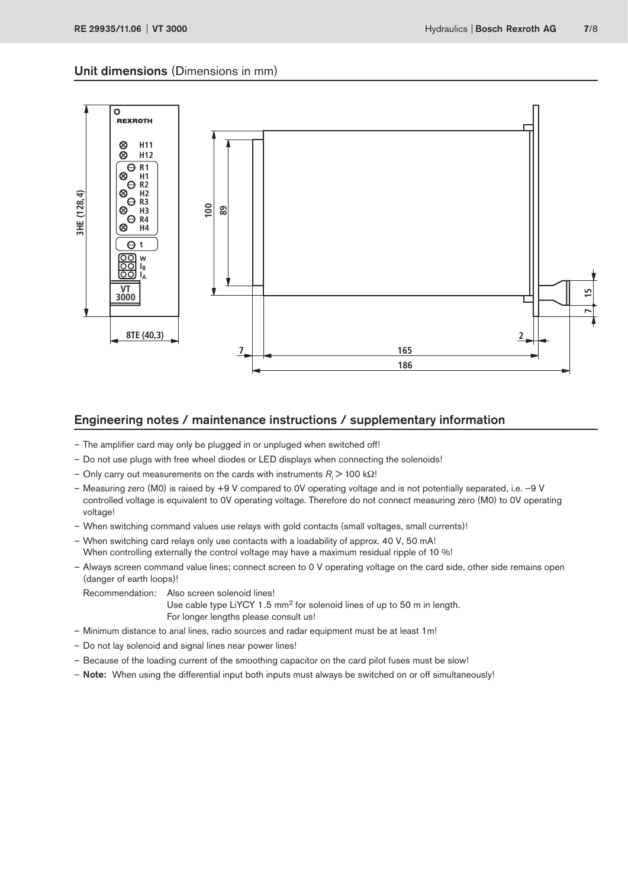### Unit dimensions (Dimensions in mm)



## Engineering notes / maintenance instructions / supplementary information

- The amplifier card may only be plugged in or unpluged when switched off!
- Do not use plugs with free wheel diodes or LED displays when connecting the solenoids!
- $-$  Only carry out measurements on the cards with instruments *R*<sub>i</sub> > 100 kΩ!
- Measuring zero (M0) is raised by +9 V compared to 0V operating voltage and is not potentially separated, i.e. –9 V controlled voltage is equivalent to 0V operating voltage. Therefore do not connect measuring zero (M0) to 0V operating voltage!
- When switching command values use relays with gold contacts (small voltages, small currents)!
- When switching card relays only use contacts with a loadability of approx. 40 V, 50 mA! When controlling externally the control voltage may have a maximum residual ripple of 10 %!
- Always screen command value lines; connect screen to 0 V operating voltage on the card side, other side remains open (danger of earth loops)!

Recommendation: Also screen solenoid lines! Use cable type LiYCY 1.5 mm<sup>2</sup> for solenoid lines of up to 50 m in length. For longer lengths please consult us!

- Minimum distance to arial lines, radio sources and radar equipment must be at least 1m!
- Do not lay solenoid and signal lines near power lines!
- Because of the loading current of the smoothing capacitor on the card pilot fuses must be slow!
- Note: When using the differential input both inputs must always be switched on or off simultaneously!